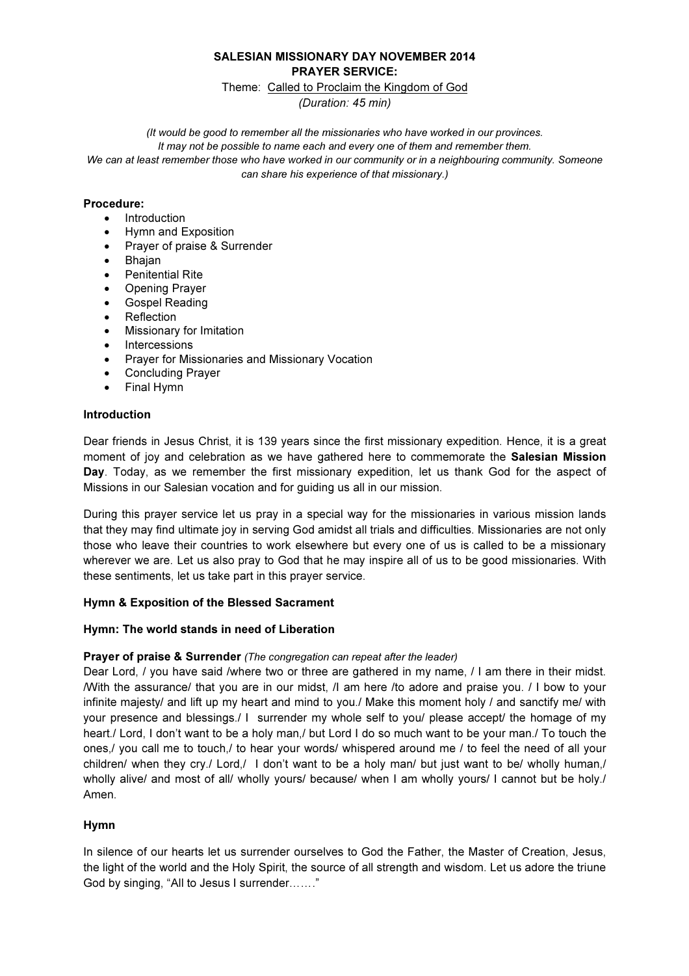# SALESIAN MISSIONARY DAY NOVEMBER 2014 PRAYER SERVICE:

#### Theme: Called to Proclaim the Kingdom of God

(Duration: 45 min)

(It would be good to remember all the missionaries who have worked in our provinces.

It may not be possible to name each and every one of them and remember them.

We can at least remember those who have worked in our community or in a neighbouring community. Someone can share his experience of that missionary.)

### Procedure:

- Introduction
- Hymn and Exposition
- Prayer of praise & Surrender
- Bhajan
- Penitential Rite
- Opening Prayer
- Gospel Reading
- **Reflection**
- Missionary for Imitation
- Intercessions
- Prayer for Missionaries and Missionary Vocation
- Concluding Prayer
- Final Hymn

### Introduction

Dear friends in Jesus Christ, it is 139 years since the first missionary expedition. Hence, it is a great moment of joy and celebration as we have gathered here to commemorate the Salesian Mission Day. Today, as we remember the first missionary expedition, let us thank God for the aspect of Missions in our Salesian vocation and for guiding us all in our mission.

During this prayer service let us pray in a special way for the missionaries in various mission lands that they may find ultimate joy in serving God amidst all trials and difficulties. Missionaries are not only those who leave their countries to work elsewhere but every one of us is called to be a missionary wherever we are. Let us also pray to God that he may inspire all of us to be good missionaries. With these sentiments, let us take part in this prayer service.

### Hymn & Exposition of the Blessed Sacrament

### Hymn: The world stands in need of Liberation

### Prayer of praise & Surrender (The congregation can repeat after the leader)

Dear Lord, *I* you have said /where two or three are gathered in my name, *I* I am there in their midst. /With the assurance/ that you are in our midst, /I am here /to adore and praise you. / I bow to your infinite majesty/ and lift up my heart and mind to you./ Make this moment holy / and sanctify me/ with your presence and blessings./ I surrender my whole self to you/ please accept/ the homage of my heart./ Lord, I don't want to be a holy man,/ but Lord I do so much want to be your man./ To touch the ones,/ you call me to touch,/ to hear your words/ whispered around me / to feel the need of all your children/ when they cry./ Lord,/ I don't want to be a holy man/ but just want to be/ wholly human,/ wholly alive/ and most of all/ wholly yours/ because/ when I am wholly yours/ I cannot but be holy./ Amen.

### Hymn

In silence of our hearts let us surrender ourselves to God the Father, the Master of Creation, Jesus, the light of the world and the Holy Spirit, the source of all strength and wisdom. Let us adore the triune God by singing, "All to Jesus I surrender......."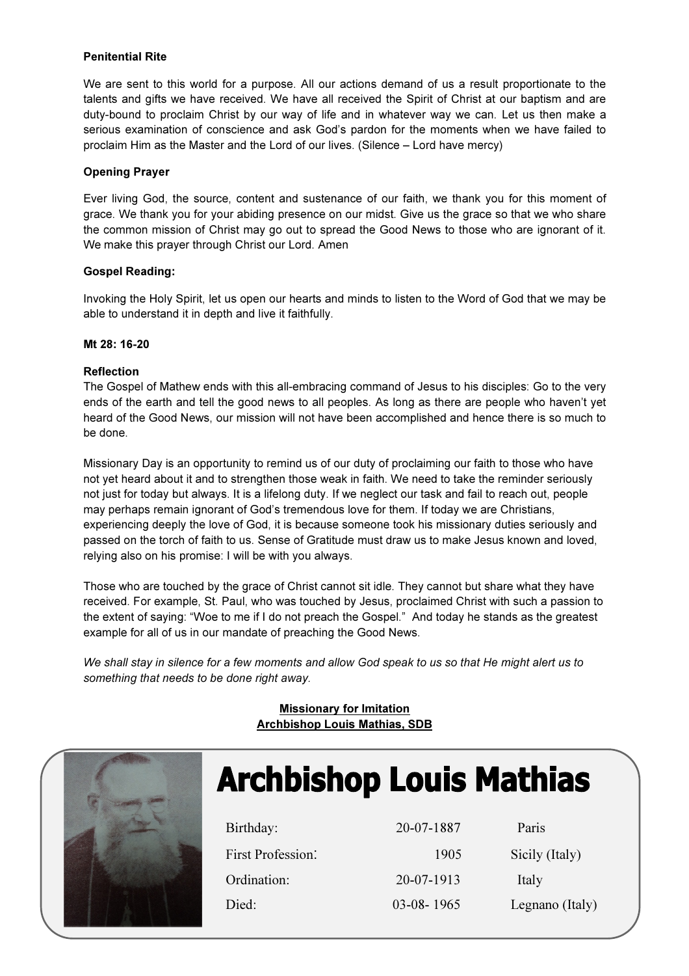### Penitential Rite

We are sent to this world for a purpose. All our actions demand of us a result proportionate to the talents and gifts we have received. We have all received the Spirit of Christ at our baptism and are duty-bound to proclaim Christ by our way of life and in whatever way we can. Let us then make a serious examination of conscience and ask God's pardon for the moments when we have failed to proclaim Him as the Master and the Lord of our lives. (Silence – Lord have mercy)

### Opening Prayer

Ever living God, the source, content and sustenance of our faith, we thank you for this moment of grace. We thank you for your abiding presence on our midst. Give us the grace so that we who share the common mission of Christ may go out to spread the Good News to those who are ignorant of it. We make this prayer through Christ our Lord. Amen

## Gospel Reading:

Invoking the Holy Spirit, let us open our hearts and minds to listen to the Word of God that we may be able to understand it in depth and live it faithfully.

### Mt 28: 16-20

## Reflection

The Gospel of Mathew ends with this all-embracing command of Jesus to his disciples: Go to the very ends of the earth and tell the good news to all peoples. As long as there are people who haven't yet heard of the Good News, our mission will not have been accomplished and hence there is so much to be done.

Missionary Day is an opportunity to remind us of our duty of proclaiming our faith to those who have not yet heard about it and to strengthen those weak in faith. We need to take the reminder seriously not just for today but always. It is a lifelong duty. If we neglect our task and fail to reach out, people may perhaps remain ignorant of God's tremendous love for them. If today we are Christians, experiencing deeply the love of God, it is because someone took his missionary duties seriously and passed on the torch of faith to us. Sense of Gratitude must draw us to make Jesus known and loved, relying also on his promise: I will be with you always.

Those who are touched by the grace of Christ cannot sit idle. They cannot but share what they have received. For example, St. Paul, who was touched by Jesus, proclaimed Christ with such a passion to the extent of saying: "Woe to me if I do not preach the Gospel." And today he stands as the greatest example for all of us in our mandate of preaching the Good News.

We shall stay in silence for a few moments and allow God speak to us so that He might alert us to something that needs to be done right away.

# Missionary for Imitation Archbishop Louis Mathias, SDB



# **Archbishop Louis Mathias**

| Birthday:         | 20-07-1887   | Paris           |
|-------------------|--------------|-----------------|
| First Profession: | 1905         | Sicily (Italy)  |
| Ordination:       | 20-07-1913   | Italy           |
| Died:             | $03-08-1965$ | Legnano (Italy) |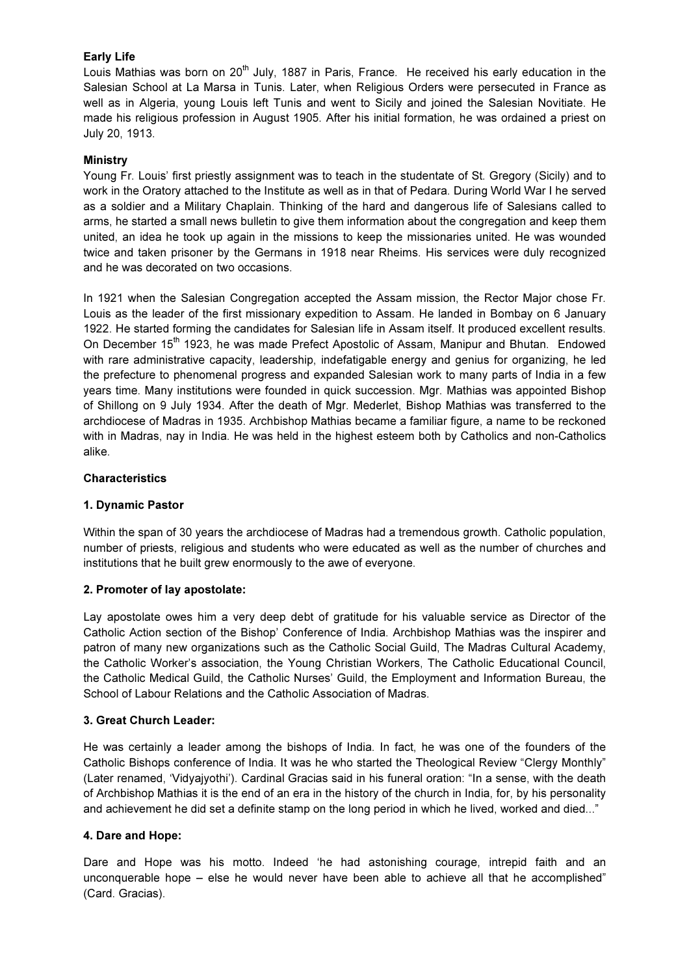## Early Life

Louis Mathias was born on 20<sup>th</sup> July, 1887 in Paris, France. He received his early education in the Salesian School at La Marsa in Tunis. Later, when Religious Orders were persecuted in France as well as in Algeria, young Louis left Tunis and went to Sicily and joined the Salesian Novitiate. He made his religious profession in August 1905. After his initial formation, he was ordained a priest on July 20, 1913.

### **Ministry**

Young Fr. Louis' first priestly assignment was to teach in the studentate of St. Gregory (Sicily) and to work in the Oratory attached to the Institute as well as in that of Pedara. During World War I he served as a soldier and a Military Chaplain. Thinking of the hard and dangerous life of Salesians called to arms, he started a small news bulletin to give them information about the congregation and keep them united, an idea he took up again in the missions to keep the missionaries united. He was wounded twice and taken prisoner by the Germans in 1918 near Rheims. His services were duly recognized and he was decorated on two occasions.

In 1921 when the Salesian Congregation accepted the Assam mission, the Rector Major chose Fr. Louis as the leader of the first missionary expedition to Assam. He landed in Bombay on 6 January 1922. He started forming the candidates for Salesian life in Assam itself. It produced excellent results. On December  $15<sup>th</sup>$  1923, he was made Prefect Apostolic of Assam, Manipur and Bhutan. Endowed with rare administrative capacity, leadership, indefatigable energy and genius for organizing, he led the prefecture to phenomenal progress and expanded Salesian work to many parts of India in a few years time. Many institutions were founded in quick succession. Mgr. Mathias was appointed Bishop of Shillong on 9 July 1934. After the death of Mgr. Mederlet, Bishop Mathias was transferred to the archdiocese of Madras in 1935. Archbishop Mathias became a familiar figure, a name to be reckoned with in Madras, nay in India. He was held in the highest esteem both by Catholics and non-Catholics alike.

### Characteristics

### 1. Dynamic Pastor

Within the span of 30 years the archdiocese of Madras had a tremendous growth. Catholic population, number of priests, religious and students who were educated as well as the number of churches and institutions that he built grew enormously to the awe of everyone.

### 2. Promoter of lay apostolate:

Lay apostolate owes him a very deep debt of gratitude for his valuable service as Director of the Catholic Action section of the Bishop' Conference of India. Archbishop Mathias was the inspirer and patron of many new organizations such as the Catholic Social Guild, The Madras Cultural Academy, the Catholic Worker's association, the Young Christian Workers, The Catholic Educational Council, the Catholic Medical Guild, the Catholic Nurses' Guild, the Employment and Information Bureau, the School of Labour Relations and the Catholic Association of Madras.

### 3. Great Church Leader:

He was certainly a leader among the bishops of India. In fact, he was one of the founders of the Catholic Bishops conference of India. It was he who started the Theological Review "Clergy Monthly" (Later renamed, 'Vidyajyothi'). Cardinal Gracias said in his funeral oration: "In a sense, with the death of Archbishop Mathias it is the end of an era in the history of the church in India, for, by his personality and achievement he did set a definite stamp on the long period in which he lived, worked and died..."

### 4. Dare and Hope:

Dare and Hope was his motto. Indeed 'he had astonishing courage, intrepid faith and an unconquerable hope – else he would never have been able to achieve all that he accomplished" (Card. Gracias).